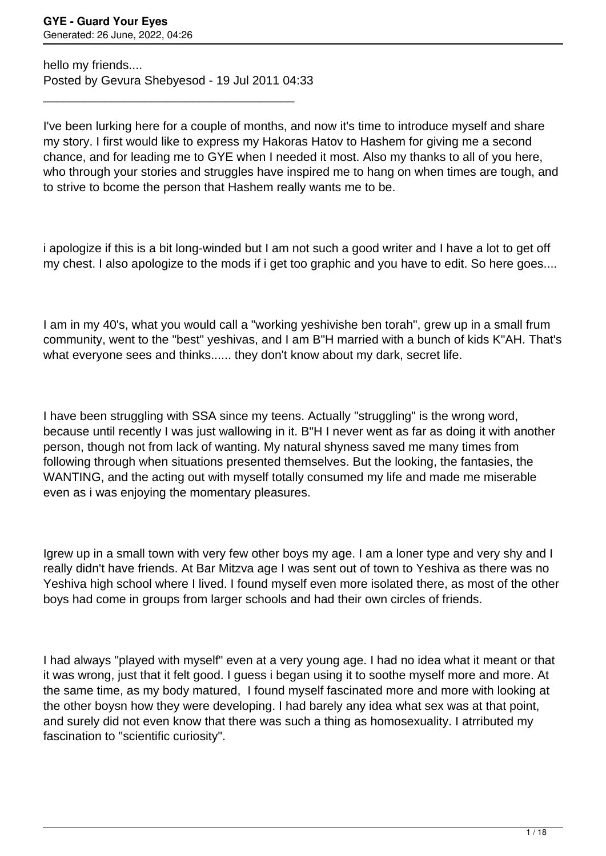hello my friends.... Posted by Gevura Shebyesod - 19 Jul 2011 04:33

\_\_\_\_\_\_\_\_\_\_\_\_\_\_\_\_\_\_\_\_\_\_\_\_\_\_\_\_\_\_\_\_\_\_\_\_\_

I've been lurking here for a couple of months, and now it's time to introduce myself and share my story. I first would like to express my Hakoras Hatov to Hashem for giving me a second chance, and for leading me to GYE when I needed it most. Also my thanks to all of you here, who through your stories and struggles have inspired me to hang on when times are tough, and to strive to bcome the person that Hashem really wants me to be.

i apologize if this is a bit long-winded but I am not such a good writer and I have a lot to get off my chest. I also apologize to the mods if i get too graphic and you have to edit. So here goes....

I am in my 40's, what you would call a "working yeshivishe ben torah", grew up in a small frum community, went to the "best" yeshivas, and I am B"H married with a bunch of kids K"AH. That's what everyone sees and thinks...... they don't know about my dark, secret life.

I have been struggling with SSA since my teens. Actually "struggling" is the wrong word, because until recently I was just wallowing in it. B"H I never went as far as doing it with another person, though not from lack of wanting. My natural shyness saved me many times from following through when situations presented themselves. But the looking, the fantasies, the WANTING, and the acting out with myself totally consumed my life and made me miserable even as i was enjoying the momentary pleasures.

Igrew up in a small town with very few other boys my age. I am a loner type and very shy and I really didn't have friends. At Bar Mitzva age I was sent out of town to Yeshiva as there was no Yeshiva high school where I lived. I found myself even more isolated there, as most of the other boys had come in groups from larger schools and had their own circles of friends.

I had always "played with myself" even at a very young age. I had no idea what it meant or that it was wrong, just that it felt good. I guess i began using it to soothe myself more and more. At the same time, as my body matured, I found myself fascinated more and more with looking at the other boysn how they were developing. I had barely any idea what sex was at that point, and surely did not even know that there was such a thing as homosexuality. I atrributed my fascination to "scientific curiosity".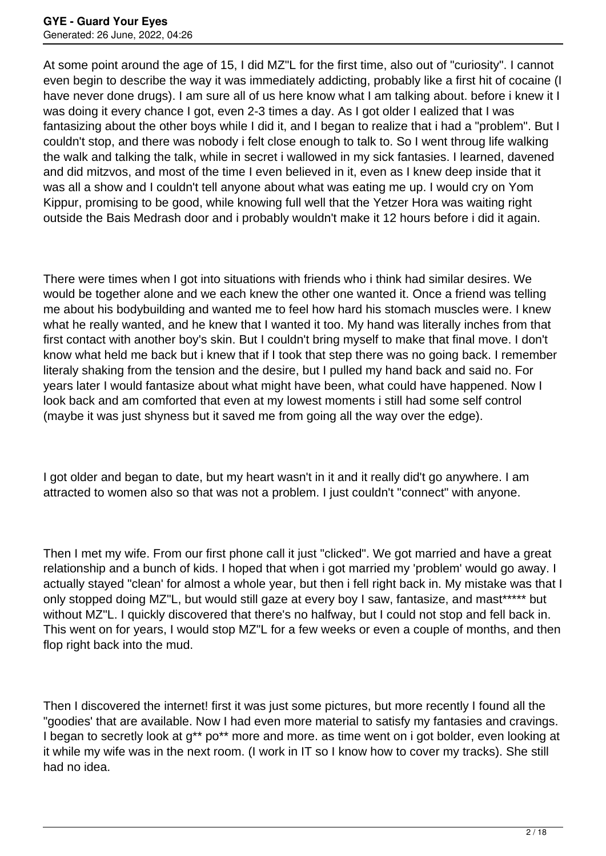At some point around the age of 15, I did MZ"L for the first time, also out of "curiosity". I cannot even begin to describe the way it was immediately addicting, probably like a first hit of cocaine (I have never done drugs). I am sure all of us here know what I am talking about. before i knew it I was doing it every chance I got, even 2-3 times a day. As I got older I ealized that I was fantasizing about the other boys while I did it, and I began to realize that i had a "problem". But I couldn't stop, and there was nobody i felt close enough to talk to. So I went throug life walking the walk and talking the talk, while in secret i wallowed in my sick fantasies. I learned, davened and did mitzvos, and most of the time I even believed in it, even as I knew deep inside that it was all a show and I couldn't tell anyone about what was eating me up. I would cry on Yom Kippur, promising to be good, while knowing full well that the Yetzer Hora was waiting right outside the Bais Medrash door and i probably wouldn't make it 12 hours before i did it again.

There were times when I got into situations with friends who i think had similar desires. We would be together alone and we each knew the other one wanted it. Once a friend was telling me about his bodybuilding and wanted me to feel how hard his stomach muscles were. I knew what he really wanted, and he knew that I wanted it too. My hand was literally inches from that first contact with another boy's skin. But I couldn't bring myself to make that final move. I don't know what held me back but i knew that if I took that step there was no going back. I remember literaly shaking from the tension and the desire, but I pulled my hand back and said no. For years later I would fantasize about what might have been, what could have happened. Now I look back and am comforted that even at my lowest moments i still had some self control (maybe it was just shyness but it saved me from going all the way over the edge).

I got older and began to date, but my heart wasn't in it and it really did't go anywhere. I am attracted to women also so that was not a problem. I just couldn't "connect" with anyone.

Then I met my wife. From our first phone call it just "clicked". We got married and have a great relationship and a bunch of kids. I hoped that when i got married my 'problem' would go away. I actually stayed "clean' for almost a whole year, but then i fell right back in. My mistake was that I only stopped doing MZ"L, but would still gaze at every boy I saw, fantasize, and mast\*\*\*\*\* but without MZ"L. I quickly discovered that there's no halfway, but I could not stop and fell back in. This went on for years, I would stop MZ"L for a few weeks or even a couple of months, and then flop right back into the mud.

Then I discovered the internet! first it was just some pictures, but more recently I found all the "goodies' that are available. Now I had even more material to satisfy my fantasies and cravings. I began to secretly look at g<sup>\*\*</sup> po<sup>\*\*</sup> more and more. as time went on i got bolder, even looking at it while my wife was in the next room. (I work in IT so I know how to cover my tracks). She still had no idea.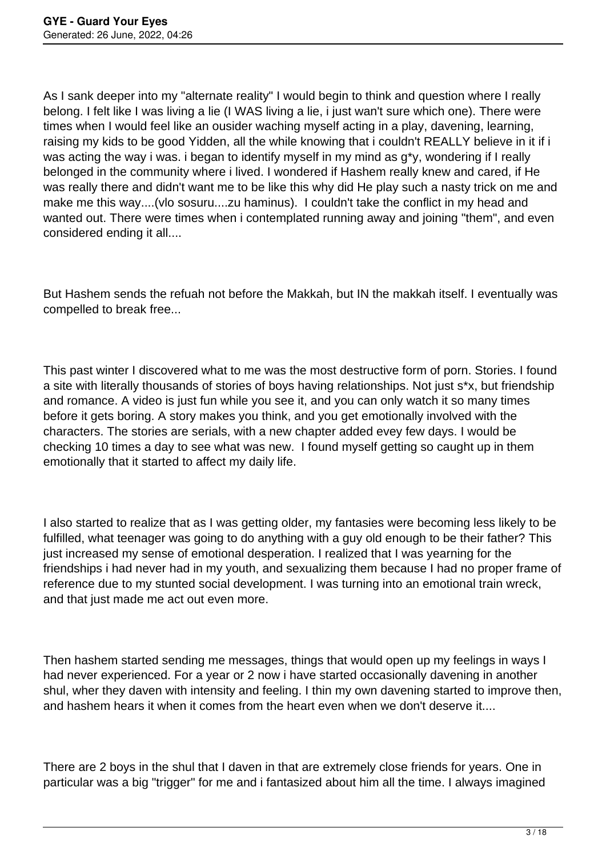As I sank deeper into my "alternate reality" I would begin to think and question where I really belong. I felt like I was living a lie (I WAS living a lie, i just wan't sure which one). There were times when I would feel like an ousider waching myself acting in a play, davening, learning, raising my kids to be good Yidden, all the while knowing that i couldn't REALLY believe in it if i was acting the way i was. i began to identify myself in my mind as g<sup>\*</sup>y, wondering if I really belonged in the community where i lived. I wondered if Hashem really knew and cared, if He was really there and didn't want me to be like this why did He play such a nasty trick on me and make me this way....(vlo sosuru....zu haminus). I couldn't take the conflict in my head and wanted out. There were times when i contemplated running away and joining "them", and even considered ending it all....

But Hashem sends the refuah not before the Makkah, but IN the makkah itself. I eventually was compelled to break free...

This past winter I discovered what to me was the most destructive form of porn. Stories. I found a site with literally thousands of stories of boys having relationships. Not just s\*x, but friendship and romance. A video is just fun while you see it, and you can only watch it so many times before it gets boring. A story makes you think, and you get emotionally involved with the characters. The stories are serials, with a new chapter added evey few days. I would be checking 10 times a day to see what was new. I found myself getting so caught up in them emotionally that it started to affect my daily life.

I also started to realize that as I was getting older, my fantasies were becoming less likely to be fulfilled, what teenager was going to do anything with a guy old enough to be their father? This just increased my sense of emotional desperation. I realized that I was yearning for the friendships i had never had in my youth, and sexualizing them because I had no proper frame of reference due to my stunted social development. I was turning into an emotional train wreck, and that just made me act out even more.

Then hashem started sending me messages, things that would open up my feelings in ways I had never experienced. For a year or 2 now i have started occasionally davening in another shul, wher they daven with intensity and feeling. I thin my own davening started to improve then, and hashem hears it when it comes from the heart even when we don't deserve it....

There are 2 boys in the shul that I daven in that are extremely close friends for years. One in particular was a big "trigger" for me and i fantasized about him all the time. I always imagined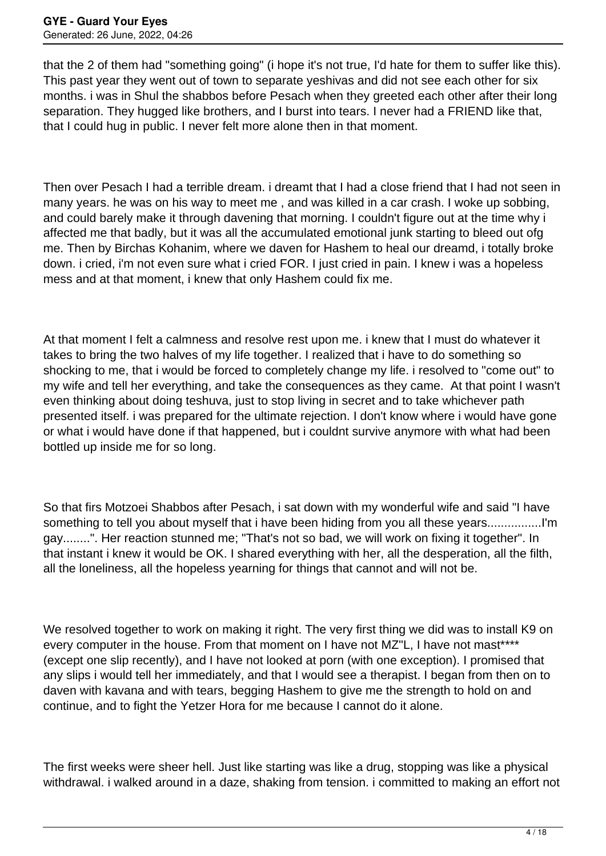that the 2 of them had "something going" (i hope it's not true, I'd hate for them to suffer like this). This past year they went out of town to separate yeshivas and did not see each other for six months. i was in Shul the shabbos before Pesach when they greeted each other after their long separation. They hugged like brothers, and I burst into tears. I never had a FRIEND like that, that I could hug in public. I never felt more alone then in that moment.

Then over Pesach I had a terrible dream. i dreamt that I had a close friend that I had not seen in many years. he was on his way to meet me , and was killed in a car crash. I woke up sobbing, and could barely make it through davening that morning. I couldn't figure out at the time why i affected me that badly, but it was all the accumulated emotional junk starting to bleed out ofg me. Then by Birchas Kohanim, where we daven for Hashem to heal our dreamd, i totally broke down. i cried, i'm not even sure what i cried FOR. I just cried in pain. I knew i was a hopeless mess and at that moment, i knew that only Hashem could fix me.

At that moment I felt a calmness and resolve rest upon me. i knew that I must do whatever it takes to bring the two halves of my life together. I realized that i have to do something so shocking to me, that i would be forced to completely change my life. i resolved to "come out" to my wife and tell her everything, and take the consequences as they came. At that point I wasn't even thinking about doing teshuva, just to stop living in secret and to take whichever path presented itself. i was prepared for the ultimate rejection. I don't know where i would have gone or what i would have done if that happened, but i couldnt survive anymore with what had been bottled up inside me for so long.

So that firs Motzoei Shabbos after Pesach, i sat down with my wonderful wife and said "I have something to tell you about myself that i have been hiding from you all these years................I'm gay........". Her reaction stunned me; "That's not so bad, we will work on fixing it together". In that instant i knew it would be OK. I shared everything with her, all the desperation, all the filth, all the loneliness, all the hopeless yearning for things that cannot and will not be.

We resolved together to work on making it right. The very first thing we did was to install K9 on every computer in the house. From that moment on I have not MZ"L, I have not mast\*\*\*\* (except one slip recently), and I have not looked at porn (with one exception). I promised that any slips i would tell her immediately, and that I would see a therapist. I began from then on to daven with kavana and with tears, begging Hashem to give me the strength to hold on and continue, and to fight the Yetzer Hora for me because I cannot do it alone.

The first weeks were sheer hell. Just like starting was like a drug, stopping was like a physical withdrawal. i walked around in a daze, shaking from tension. i committed to making an effort not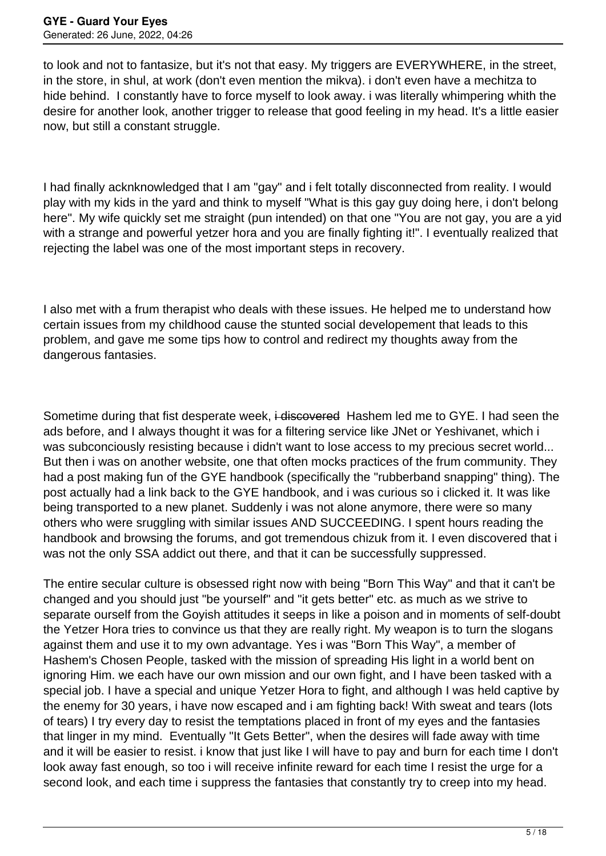to look and not to fantasize, but it's not that easy. My triggers are EVERYWHERE, in the street, in the store, in shul, at work (don't even mention the mikva). i don't even have a mechitza to hide behind. I constantly have to force myself to look away. i was literally whimpering whith the desire for another look, another trigger to release that good feeling in my head. It's a little easier now, but still a constant struggle.

I had finally acknknowledged that I am "gay" and i felt totally disconnected from reality. I would play with my kids in the yard and think to myself "What is this gay guy doing here, i don't belong here". My wife quickly set me straight (pun intended) on that one "You are not gay, you are a yid with a strange and powerful yetzer hora and you are finally fighting it!". I eventually realized that rejecting the label was one of the most important steps in recovery.

I also met with a frum therapist who deals with these issues. He helped me to understand how certain issues from my childhood cause the stunted social developement that leads to this problem, and gave me some tips how to control and redirect my thoughts away from the dangerous fantasies.

Sometime during that fist desperate week, i-discovered Hashem led me to GYE. I had seen the ads before, and I always thought it was for a filtering service like JNet or Yeshivanet, which i was subconciously resisting because i didn't want to lose access to my precious secret world... But then i was on another website, one that often mocks practices of the frum community. They had a post making fun of the GYE handbook (specifically the "rubberband snapping" thing). The post actually had a link back to the GYE handbook, and i was curious so i clicked it. It was like being transported to a new planet. Suddenly i was not alone anymore, there were so many others who were sruggling with similar issues AND SUCCEEDING. I spent hours reading the handbook and browsing the forums, and got tremendous chizuk from it. I even discovered that i was not the only SSA addict out there, and that it can be successfully suppressed.

The entire secular culture is obsessed right now with being "Born This Way" and that it can't be changed and you should just "be yourself" and "it gets better" etc. as much as we strive to separate ourself from the Goyish attitudes it seeps in like a poison and in moments of self-doubt the Yetzer Hora tries to convince us that they are really right. My weapon is to turn the slogans against them and use it to my own advantage. Yes i was "Born This Way", a member of Hashem's Chosen People, tasked with the mission of spreading His light in a world bent on ignoring Him. we each have our own mission and our own fight, and I have been tasked with a special job. I have a special and unique Yetzer Hora to fight, and although I was held captive by the enemy for 30 years, i have now escaped and i am fighting back! With sweat and tears (lots of tears) I try every day to resist the temptations placed in front of my eyes and the fantasies that linger in my mind. Eventually "It Gets Better", when the desires will fade away with time and it will be easier to resist. i know that just like I will have to pay and burn for each time I don't look away fast enough, so too i will receive infinite reward for each time I resist the urge for a second look, and each time i suppress the fantasies that constantly try to creep into my head.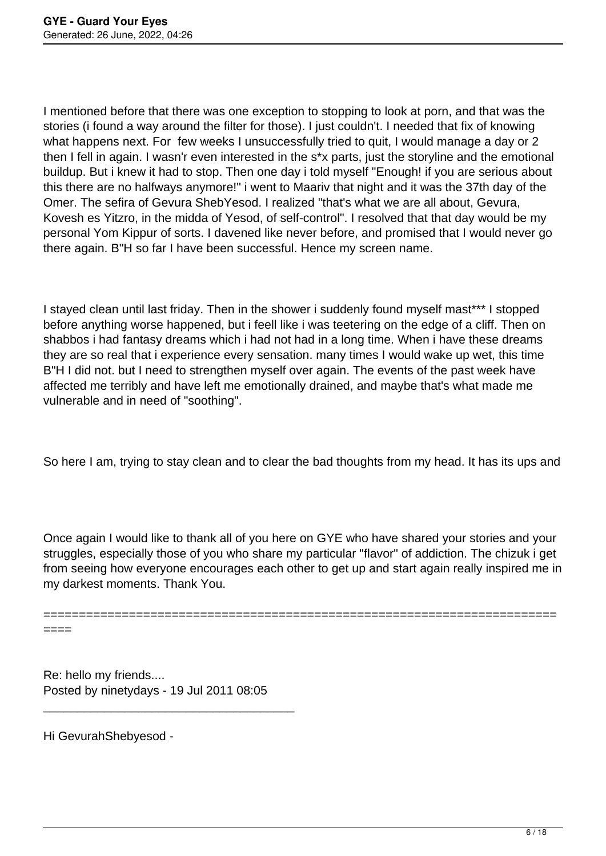I mentioned before that there was one exception to stopping to look at porn, and that was the stories (i found a way around the filter for those). I just couldn't. I needed that fix of knowing what happens next. For few weeks I unsuccessfully tried to quit, I would manage a day or 2 then I fell in again. I wasn'r even interested in the s\*x parts, just the storyline and the emotional buildup. But i knew it had to stop. Then one day i told myself "Enough! if you are serious about this there are no halfways anymore!" i went to Maariv that night and it was the 37th day of the Omer. The sefira of Gevura ShebYesod. I realized "that's what we are all about, Gevura, Kovesh es Yitzro, in the midda of Yesod, of self-control". I resolved that that day would be my personal Yom Kippur of sorts. I davened like never before, and promised that I would never go there again. B"H so far I have been successful. Hence my screen name.

I stayed clean until last friday. Then in the shower i suddenly found myself mast\*\*\* I stopped before anything worse happened, but i feell like i was teetering on the edge of a cliff. Then on shabbos i had fantasy dreams which i had not had in a long time. When i have these dreams they are so real that i experience every sensation. many times I would wake up wet, this time B"H I did not. but I need to strengthen myself over again. The events of the past week have affected me terribly and have left me emotionally drained, and maybe that's what made me vulnerable and in need of "soothing".

So here I am, trying to stay clean and to clear the bad thoughts from my head. It has its ups and

Once again I would like to thank all of you here on GYE who have shared your stories and your struggles, especially those of you who share my particular "flavor" of addiction. The chizuk i get from seeing how everyone encourages each other to get up and start again really inspired me in my darkest moments. Thank You.

========================================================================

====

Re: hello my friends.... Posted by ninetydays - 19 Jul 2011 08:05

\_\_\_\_\_\_\_\_\_\_\_\_\_\_\_\_\_\_\_\_\_\_\_\_\_\_\_\_\_\_\_\_\_\_\_\_\_

Hi GevurahShebyesod -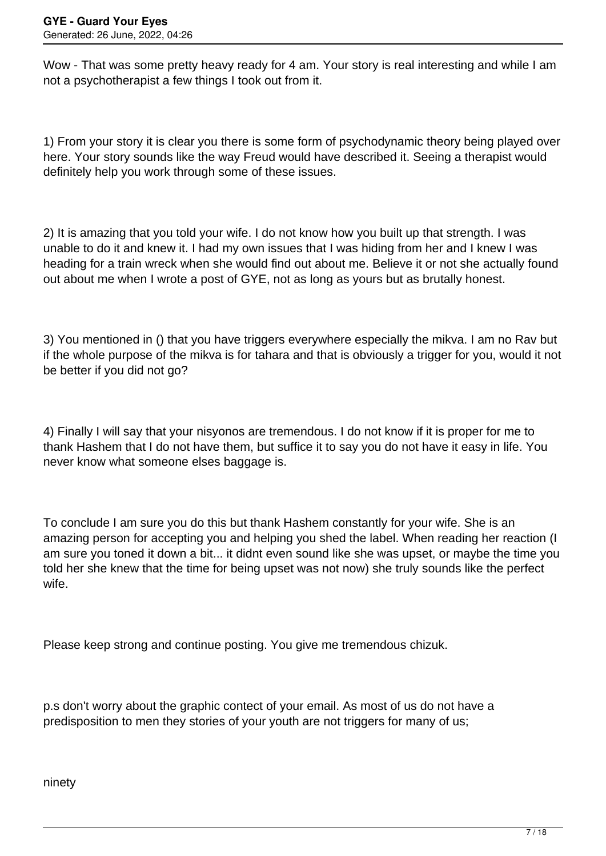Wow - That was some pretty heavy ready for 4 am. Your story is real interesting and while I am not a psychotherapist a few things I took out from it.

1) From your story it is clear you there is some form of psychodynamic theory being played over here. Your story sounds like the way Freud would have described it. Seeing a therapist would definitely help you work through some of these issues.

2) It is amazing that you told your wife. I do not know how you built up that strength. I was unable to do it and knew it. I had my own issues that I was hiding from her and I knew I was heading for a train wreck when she would find out about me. Believe it or not she actually found out about me when I wrote a post of GYE, not as long as yours but as brutally honest.

3) You mentioned in () that you have triggers everywhere especially the mikya. I am no Ray but if the whole purpose of the mikva is for tahara and that is obviously a trigger for you, would it not be better if you did not go?

4) Finally I will say that your nisyonos are tremendous. I do not know if it is proper for me to thank Hashem that I do not have them, but suffice it to say you do not have it easy in life. You never know what someone elses baggage is.

To conclude I am sure you do this but thank Hashem constantly for your wife. She is an amazing person for accepting you and helping you shed the label. When reading her reaction (I am sure you toned it down a bit... it didnt even sound like she was upset, or maybe the time you told her she knew that the time for being upset was not now) she truly sounds like the perfect wife.

Please keep strong and continue posting. You give me tremendous chizuk.

p.s don't worry about the graphic contect of your email. As most of us do not have a predisposition to men they stories of your youth are not triggers for many of us;

ninety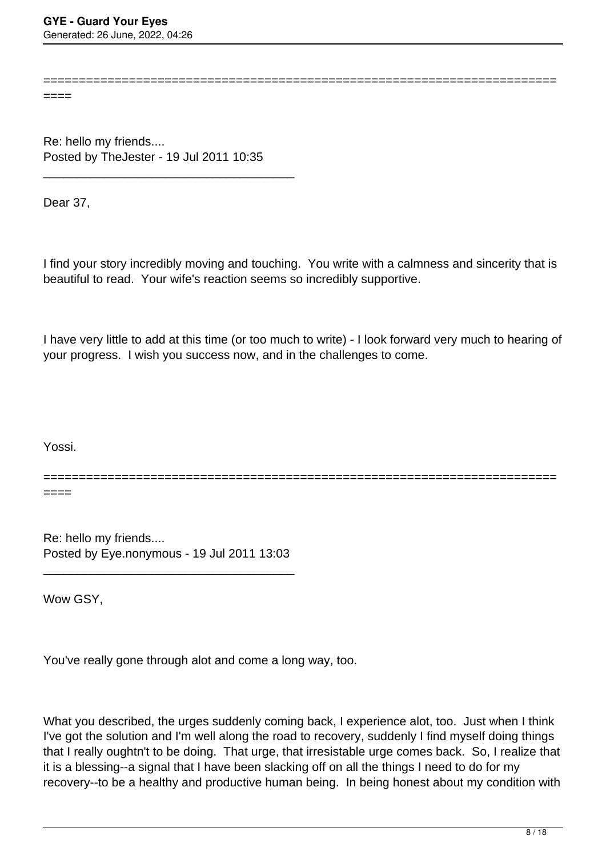====

Re: hello my friends.... Posted by TheJester - 19 Jul 2011 10:35

\_\_\_\_\_\_\_\_\_\_\_\_\_\_\_\_\_\_\_\_\_\_\_\_\_\_\_\_\_\_\_\_\_\_\_\_\_

Dear 37,

I find your story incredibly moving and touching. You write with a calmness and sincerity that is beautiful to read. Your wife's reaction seems so incredibly supportive.

========================================================================

I have very little to add at this time (or too much to write) - I look forward very much to hearing of your progress. I wish you success now, and in the challenges to come.

Yossi.

========================================================================

====

Re: hello my friends.... Posted by Eye.nonymous - 19 Jul 2011 13:03

\_\_\_\_\_\_\_\_\_\_\_\_\_\_\_\_\_\_\_\_\_\_\_\_\_\_\_\_\_\_\_\_\_\_\_\_\_

Wow GSY,

You've really gone through alot and come a long way, too.

What you described, the urges suddenly coming back, I experience alot, too. Just when I think I've got the solution and I'm well along the road to recovery, suddenly I find myself doing things that I really oughtn't to be doing. That urge, that irresistable urge comes back. So, I realize that it is a blessing--a signal that I have been slacking off on all the things I need to do for my recovery--to be a healthy and productive human being. In being honest about my condition with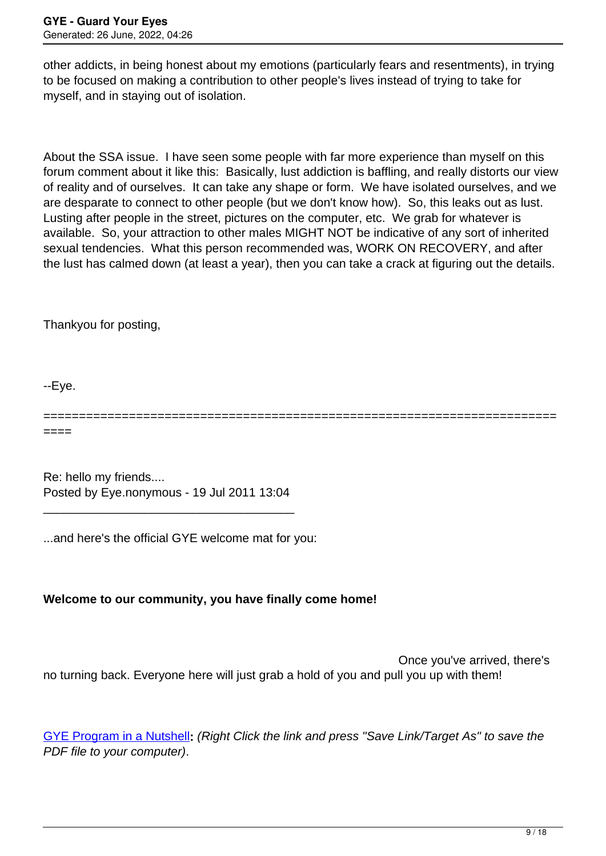other addicts, in being honest about my emotions (particularly fears and resentments), in trying to be focused on making a contribution to other people's lives instead of trying to take for myself, and in staying out of isolation.

About the SSA issue. I have seen some people with far more experience than myself on this forum comment about it like this: Basically, lust addiction is baffling, and really distorts our view of reality and of ourselves. It can take any shape or form. We have isolated ourselves, and we are desparate to connect to other people (but we don't know how). So, this leaks out as lust. Lusting after people in the street, pictures on the computer, etc. We grab for whatever is available. So, your attraction to other males MIGHT NOT be indicative of any sort of inherited sexual tendencies. What this person recommended was, WORK ON RECOVERY, and after the lust has calmed down (at least a year), then you can take a crack at figuring out the details.

Thankyou for posting,

--Eye.

========================================================================

====

Re: hello my friends.... Posted by Eye.nonymous - 19 Jul 2011 13:04

\_\_\_\_\_\_\_\_\_\_\_\_\_\_\_\_\_\_\_\_\_\_\_\_\_\_\_\_\_\_\_\_\_\_\_\_\_

...and here's the official GYE welcome mat for you:

## **Welcome to our community, you have finally come home!**

 Once you've arrived, there's no turning back. Everyone here will just grab a hold of you and pull you up with them!

[GYE Program in a Nutshell](http://www.guardureyes.com/GUE/PDFs/Newsletter01/GYE%20in%20a%20Nutshell%202011.pdf)**:** (Right Click the link and press "Save Link/Target As" to save the PDF file to your computer).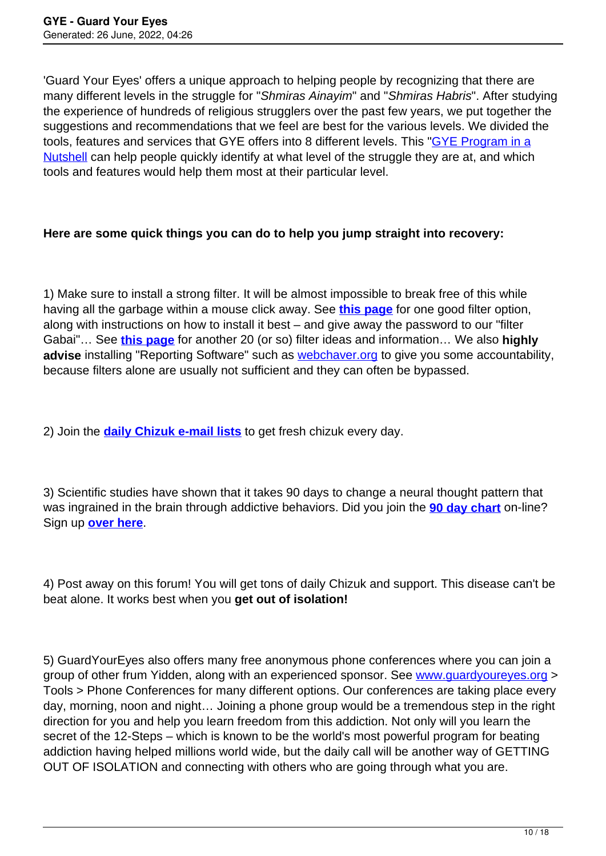'Guard Your Eyes' offers a unique approach to helping people by recognizing that there are many different levels in the struggle for "Shmiras Ainayim" and "Shmiras Habris". After studying the experience of hundreds of religious strugglers over the past few years, we put together the suggestions and recommendations that we feel are best for the various levels. We divided the tools, features and services that GYE offers into 8 different levels. This ["GYE Program in a](http://www.guardureyes.com/GUE/PDFs/Newsletter01/GYE%20in%20a%20Nutshell%202011.pdf) [Nutshell](http://www.guardureyes.com/GUE/PDFs/Newsletter01/GYE%20in%20a%20Nutshell%202011.pdf) can help people quickly identify at what level of the struggle they are at, and which tools and features would help them most at their particular level.

## **Here are some quick things you can do to help you jump straight into recovery:**

1) Make sure to install a strong filter. It will be almost impossible to break free of this while having all the garbage within a mouse click away. See **[this page](http://www.guardyoureyes.org/?p=24)** for one good filter option, along with instructions on how to install it best – and give away the password to our "filter Gabai"… See **[this page](http://www.guardureyes.com/GUE/Filters/filters.asp)** for another 20 (or so) filter ideas and information… We also **highly advise** installing "Reporting Software" such as [webchaver.org](http://www.webchaver.org) to give you some accountability, because filters alone are usually not sufficient and they can often be bypassed.

2) Join the **[daily Chizuk e-mail lists](http://www.guardureyes.com/GUE/GUEList.asp)** to get fresh chizuk every day.

3) Scientific studies have shown that it takes 90 days to change a neural thought pattern that was ingrained in the brain through addictive behaviors. Did you join the **[90 day chart](http://guardyoureyes.org/woh/90day.php)** on-line? Sign up **[over here](http://guardyoureyes.org/woh/signup.php)**.

4) Post away on this forum! You will get tons of daily Chizuk and support. This disease can't be beat alone. It works best when you **get out of isolation!**

5) GuardYourEyes also offers many free anonymous phone conferences where you can join a group of other frum Yidden, along with an experienced sponsor. See [www.guardyoureyes.org](http://www.guardyoureyes.org) > Tools > Phone Conferences for many different options. Our conferences are taking place every day, morning, noon and night… Joining a phone group would be a tremendous step in the right direction for you and help you learn freedom from this addiction. Not only will you learn the secret of the 12-Steps – which is known to be the world's most powerful program for beating addiction having helped millions world wide, but the daily call will be another way of GETTING OUT OF ISOLATION and connecting with others who are going through what you are.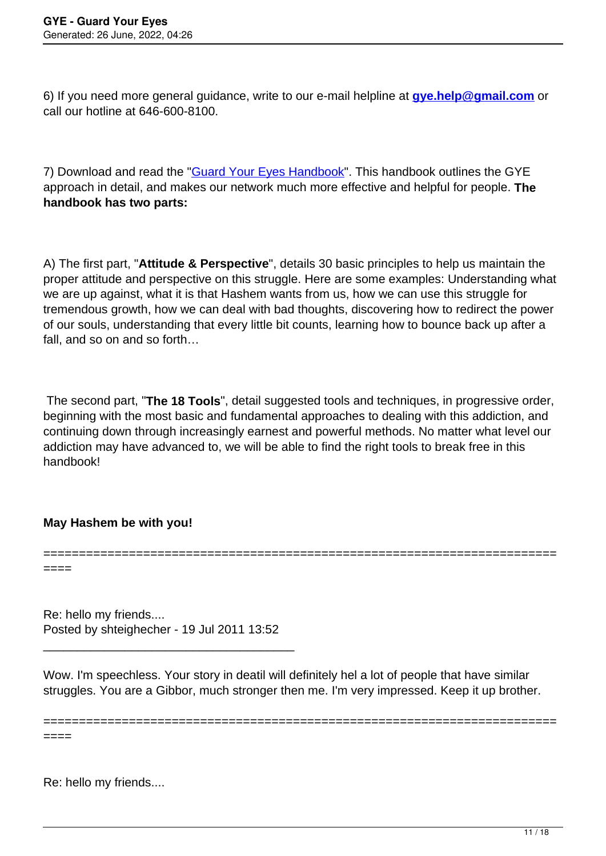6) If you need more general guidance, write to our e-mail helpline at **[gye.help@gmail.com](mailto:gye.help@gmail.com)** or call our hotline at 646-600-8100.

7) Download and read the ["Guard Your Eyes Handbook](http://www.guardureyes.com/GUE/PDFs/Newsletter01/Guard%20Your%20Eyes%20Handbook%202011.pdf)". This handbook outlines the GYE approach in detail, and makes our network much more effective and helpful for people. **The handbook has two parts:**

A) The first part, "**Attitude & Perspective**", details 30 basic principles to help us maintain the proper attitude and perspective on this struggle. Here are some examples: Understanding what we are up against, what it is that Hashem wants from us, how we can use this struggle for tremendous growth, how we can deal with bad thoughts, discovering how to redirect the power of our souls, understanding that every little bit counts, learning how to bounce back up after a fall, and so on and so forth…

 The second part, "**The 18 Tools**", detail suggested tools and techniques, in progressive order, beginning with the most basic and fundamental approaches to dealing with this addiction, and continuing down through increasingly earnest and powerful methods. No matter what level our addiction may have advanced to, we will be able to find the right tools to break free in this handbook!

========================================================================

## **May Hashem be with you!**

====

Re: hello my friends.... Posted by shteighecher - 19 Jul 2011 13:52

\_\_\_\_\_\_\_\_\_\_\_\_\_\_\_\_\_\_\_\_\_\_\_\_\_\_\_\_\_\_\_\_\_\_\_\_\_

Wow. I'm speechless. Your story in deatil will definitely hel a lot of people that have similar struggles. You are a Gibbor, much stronger then me. I'm very impressed. Keep it up brother.

========================================================================

====

Re: hello my friends....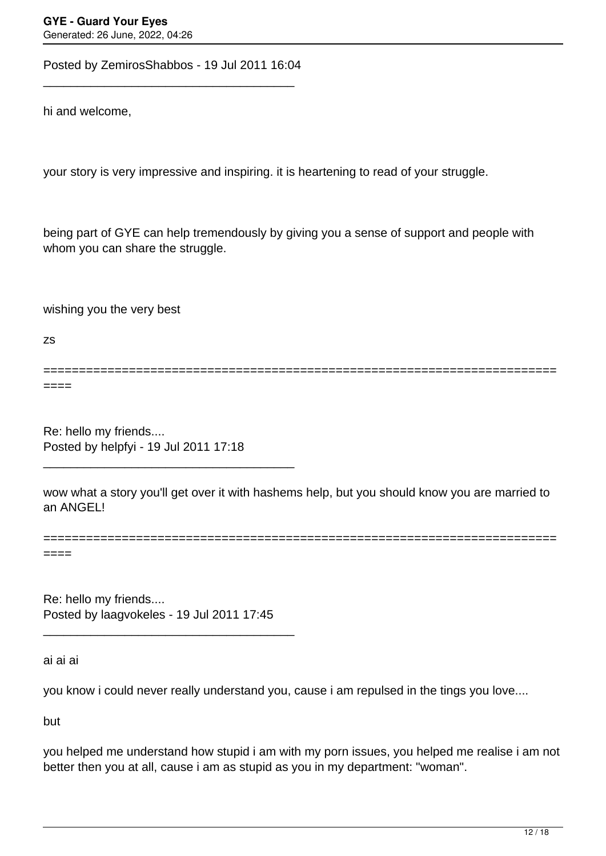Posted by ZemirosShabbos - 19 Jul 2011 16:04 \_\_\_\_\_\_\_\_\_\_\_\_\_\_\_\_\_\_\_\_\_\_\_\_\_\_\_\_\_\_\_\_\_\_\_\_\_

hi and welcome,

your story is very impressive and inspiring. it is heartening to read of your struggle.

being part of GYE can help tremendously by giving you a sense of support and people with whom you can share the struggle.

wishing you the very best

zs

======================================================================== ====

Re: hello my friends.... Posted by helpfyi - 19 Jul 2011 17:18

\_\_\_\_\_\_\_\_\_\_\_\_\_\_\_\_\_\_\_\_\_\_\_\_\_\_\_\_\_\_\_\_\_\_\_\_\_

wow what a story you'll get over it with hashems help, but you should know you are married to an ANGEL!

========================================================================

====

Re: hello my friends.... Posted by laagvokeles - 19 Jul 2011 17:45

\_\_\_\_\_\_\_\_\_\_\_\_\_\_\_\_\_\_\_\_\_\_\_\_\_\_\_\_\_\_\_\_\_\_\_\_\_

ai ai ai

you know i could never really understand you, cause i am repulsed in the tings you love....

but

you helped me understand how stupid i am with my porn issues, you helped me realise i am not better then you at all, cause i am as stupid as you in my department: "woman".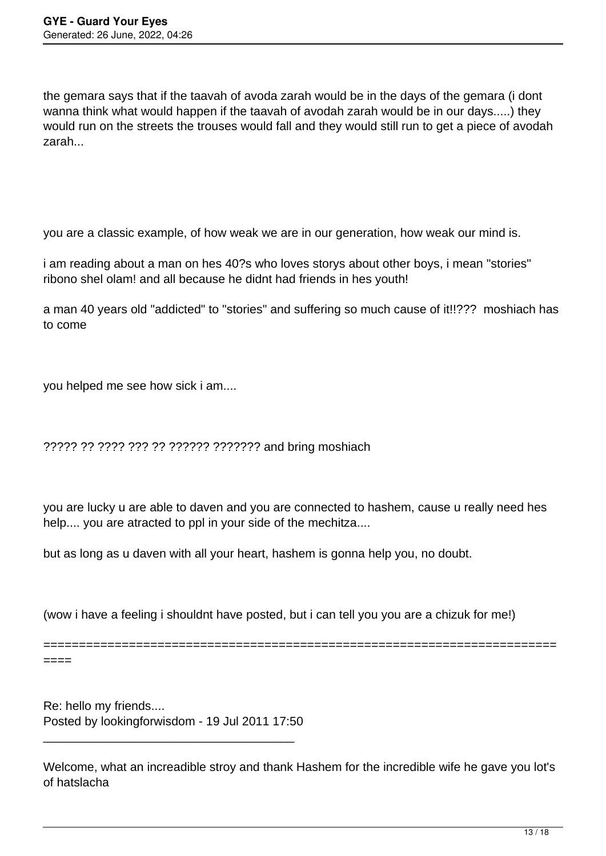the gemara says that if the taavah of avoda zarah would be in the days of the gemara (i dont wanna think what would happen if the taavah of avodah zarah would be in our days.....) they would run on the streets the trouses would fall and they would still run to get a piece of avodah zarah...

you are a classic example, of how weak we are in our generation, how weak our mind is.

i am reading about a man on hes 40?s who loves storys about other boys, i mean "stories" ribono shel olam! and all because he didnt had friends in hes youth!

a man 40 years old "addicted" to "stories" and suffering so much cause of it!!??? moshiach has to come

you helped me see how sick i am....

????? ?? ???? ??? ?? ?????? ??????? and bring moshiach

you are lucky u are able to daven and you are connected to hashem, cause u really need hes help.... you are atracted to ppl in your side of the mechitza....

but as long as u daven with all your heart, hashem is gonna help you, no doubt.

(wow i have a feeling i shouldnt have posted, but i can tell you you are a chizuk for me!)

========================================================================

====

Re: hello my friends.... Posted by lookingforwisdom - 19 Jul 2011 17:50

\_\_\_\_\_\_\_\_\_\_\_\_\_\_\_\_\_\_\_\_\_\_\_\_\_\_\_\_\_\_\_\_\_\_\_\_\_

Welcome, what an increadible stroy and thank Hashem for the incredible wife he gave you lot's of hatslacha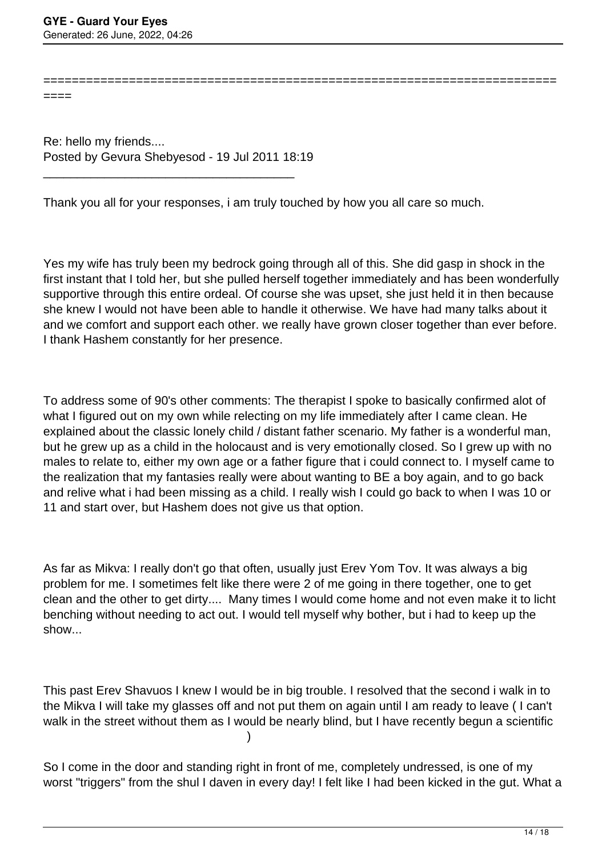======================================================================== ====

Re: hello my friends.... Posted by Gevura Shebyesod - 19 Jul 2011 18:19

\_\_\_\_\_\_\_\_\_\_\_\_\_\_\_\_\_\_\_\_\_\_\_\_\_\_\_\_\_\_\_\_\_\_\_\_\_

Thank you all for your responses, i am truly touched by how you all care so much.

Yes my wife has truly been my bedrock going through all of this. She did gasp in shock in the first instant that I told her, but she pulled herself together immediately and has been wonderfully supportive through this entire ordeal. Of course she was upset, she just held it in then because she knew I would not have been able to handle it otherwise. We have had many talks about it and we comfort and support each other. we really have grown closer together than ever before. I thank Hashem constantly for her presence.

To address some of 90's other comments: The therapist I spoke to basically confirmed alot of what I figured out on my own while relecting on my life immediately after I came clean. He explained about the classic lonely child / distant father scenario. My father is a wonderful man, but he grew up as a child in the holocaust and is very emotionally closed. So I grew up with no males to relate to, either my own age or a father figure that i could connect to. I myself came to the realization that my fantasies really were about wanting to BE a boy again, and to go back and relive what i had been missing as a child. I really wish I could go back to when I was 10 or 11 and start over, but Hashem does not give us that option.

As far as Mikva: I really don't go that often, usually just Erev Yom Tov. It was always a big problem for me. I sometimes felt like there were 2 of me going in there together, one to get clean and the other to get dirty.... Many times I would come home and not even make it to licht benching without needing to act out. I would tell myself why bother, but i had to keep up the show...

This past Erev Shavuos I knew I would be in big trouble. I resolved that the second i walk in to the Mikva I will take my glasses off and not put them on again until I am ready to leave ( I can't walk in the street without them as I would be nearly blind, but I have recently begun a scientific )

So I come in the door and standing right in front of me, completely undressed, is one of my worst "triggers" from the shul I daven in every day! I felt like I had been kicked in the gut. What a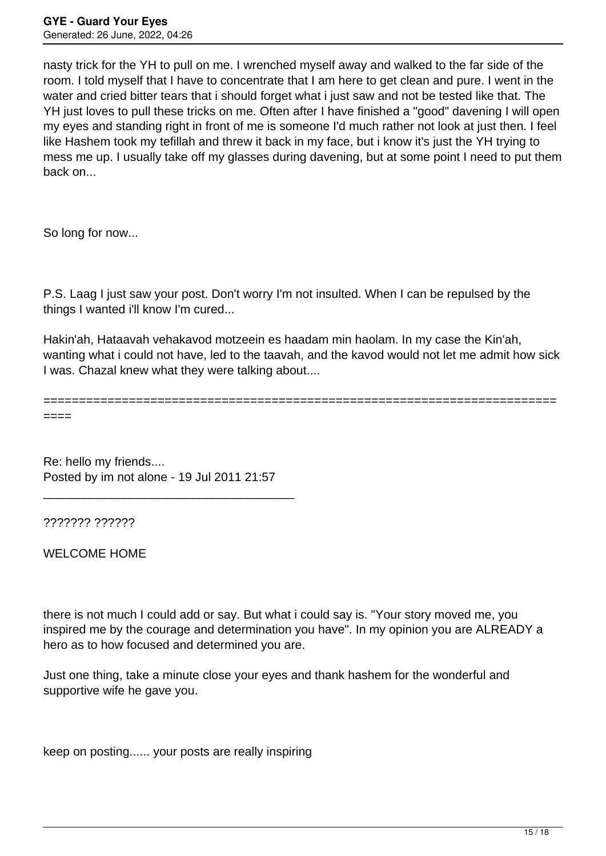nasty trick for the YH to pull on me. I wrenched myself away and walked to the far side of the room. I told myself that I have to concentrate that I am here to get clean and pure. I went in the water and cried bitter tears that i should forget what i just saw and not be tested like that. The YH just loves to pull these tricks on me. Often after I have finished a "good" davening I will open my eyes and standing right in front of me is someone I'd much rather not look at just then. I feel like Hashem took my tefillah and threw it back in my face, but i know it's just the YH trying to mess me up. I usually take off my glasses during davening, but at some point I need to put them back on...

So long for now...

P.S. Laag I just saw your post. Don't worry I'm not insulted. When I can be repulsed by the things I wanted i'll know I'm cured...

Hakin'ah, Hataavah vehakavod motzeein es haadam min haolam. In my case the Kin'ah, wanting what i could not have, led to the taavah, and the kavod would not let me admit how sick I was. Chazal knew what they were talking about....

========================================================================

====

Re: hello my friends.... Posted by im not alone - 19 Jul 2011 21:57

\_\_\_\_\_\_\_\_\_\_\_\_\_\_\_\_\_\_\_\_\_\_\_\_\_\_\_\_\_\_\_\_\_\_\_\_\_

??????? ??????

WELCOME HOME

there is not much I could add or say. But what i could say is. "Your story moved me, you inspired me by the courage and determination you have". In my opinion you are ALREADY a hero as to how focused and determined you are.

Just one thing, take a minute close your eyes and thank hashem for the wonderful and supportive wife he gave you.

keep on posting...... your posts are really inspiring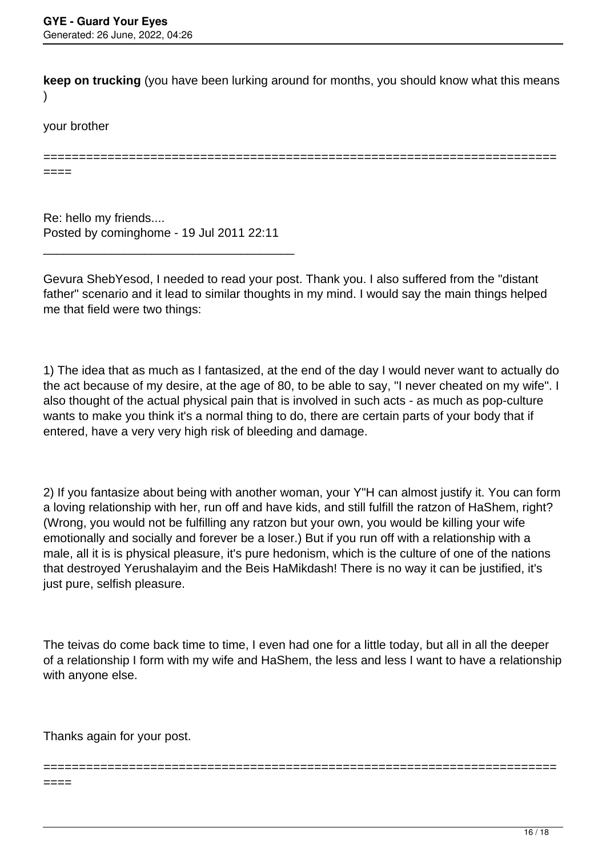**keep on trucking** (you have been lurking around for months, you should know what this means )

========================================================================

your brother

====

Re: hello my friends.... Posted by cominghome - 19 Jul 2011 22:11

\_\_\_\_\_\_\_\_\_\_\_\_\_\_\_\_\_\_\_\_\_\_\_\_\_\_\_\_\_\_\_\_\_\_\_\_\_

Gevura ShebYesod, I needed to read your post. Thank you. I also suffered from the "distant father" scenario and it lead to similar thoughts in my mind. I would say the main things helped me that field were two things:

1) The idea that as much as I fantasized, at the end of the day I would never want to actually do the act because of my desire, at the age of 80, to be able to say, "I never cheated on my wife". I also thought of the actual physical pain that is involved in such acts - as much as pop-culture wants to make you think it's a normal thing to do, there are certain parts of your body that if entered, have a very very high risk of bleeding and damage.

2) If you fantasize about being with another woman, your Y"H can almost justify it. You can form a loving relationship with her, run off and have kids, and still fulfill the ratzon of HaShem, right? (Wrong, you would not be fulfilling any ratzon but your own, you would be killing your wife emotionally and socially and forever be a loser.) But if you run off with a relationship with a male, all it is is physical pleasure, it's pure hedonism, which is the culture of one of the nations that destroyed Yerushalayim and the Beis HaMikdash! There is no way it can be justified, it's just pure, selfish pleasure.

The teivas do come back time to time, I even had one for a little today, but all in all the deeper of a relationship I form with my wife and HaShem, the less and less I want to have a relationship with anyone else.

========================================================================

Thanks again for your post.

====

16 / 18